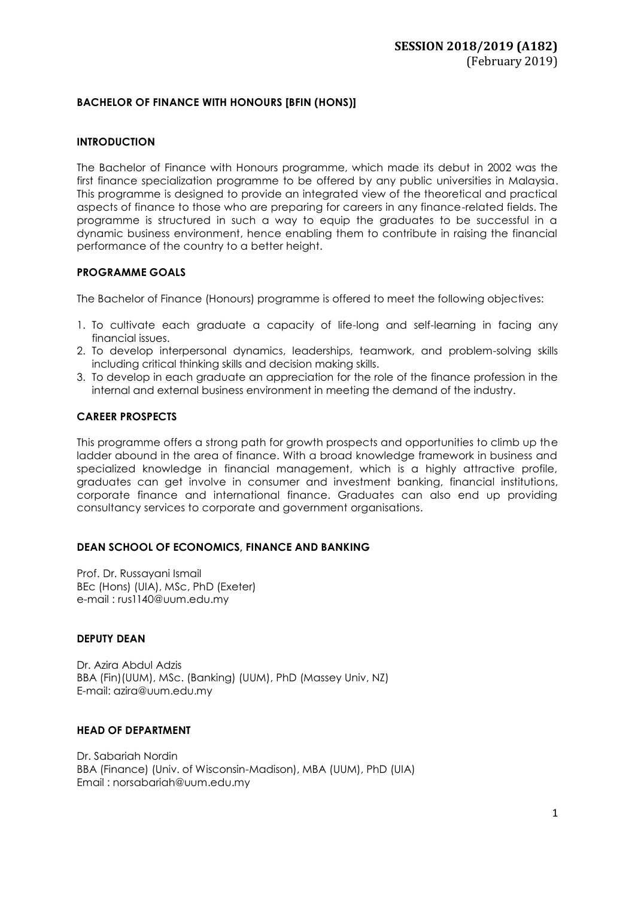# **BACHELOR OF FINANCE WITH HONOURS [BFIN (HONS)]**

### **INTRODUCTION**

The Bachelor of Finance with Honours programme, which made its debut in 2002 was the first finance specialization programme to be offered by any public universities in Malaysia. This programme is designed to provide an integrated view of the theoretical and practical aspects of finance to those who are preparing for careers in any finance-related fields. The programme is structured in such a way to equip the graduates to be successful in a dynamic business environment, hence enabling them to contribute in raising the financial performance of the country to a better height.

### **PROGRAMME GOALS**

The Bachelor of Finance (Honours) programme is offered to meet the following objectives:

- 1. To cultivate each graduate a capacity of life-long and self-learning in facing any financial issues.
- 2. To develop interpersonal dynamics, leaderships, teamwork, and problem-solving skills including critical thinking skills and decision making skills.
- 3. To develop in each graduate an appreciation for the role of the finance profession in the internal and external business environment in meeting the demand of the industry.

## **CAREER PROSPECTS**

This programme offers a strong path for growth prospects and opportunities to climb up the ladder abound in the area of finance. With a broad knowledge framework in business and specialized knowledge in financial management, which is a highly attractive profile, graduates can get involve in consumer and investment banking, financial institutions, corporate finance and international finance. Graduates can also end up providing consultancy services to corporate and government organisations.

# **DEAN SCHOOL OF ECONOMICS, FINANCE AND BANKING**

Prof. Dr. Russayani Ismail BEc (Hons) (UIA), MSc, PhD (Exeter) e-mail : [rus1140@uum.edu.my](mailto:rus1140@uum.edu.my)

### **DEPUTY DEAN**

Dr. Azira Abdul Adzis BBA (Fin)(UUM), MSc. (Banking) (UUM), PhD (Massey Univ, NZ) E-mail: azira@uum.edu.my

### **HEAD OF DEPARTMENT**

Dr. Sabariah Nordin BBA (Finance) (Univ. of Wisconsin-Madison), MBA (UUM), PhD (UIA) Email [: norsabariah@uum.edu.my](mailto:norsabariah@uum.edu.my)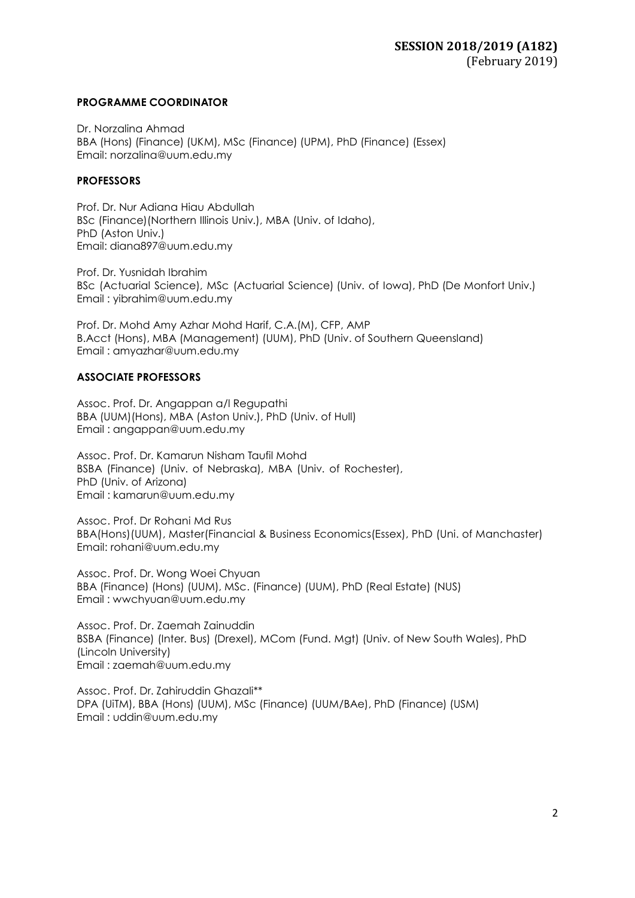## **PROGRAMME COORDINATOR**

Dr. Norzalina Ahmad BBA (Hons) (Finance) (UKM), MSc (Finance) (UPM), PhD (Finance) (Essex) Email: [norzalina@uum.edu.my](mailto:norzalina@uum.edu.my)

# **PROFESSORS**

Prof. Dr. Nur Adiana Hiau Abdullah BSc (Finance)(Northern Illinois Univ.), MBA (Univ. of Idaho), PhD (Aston Univ.) Email: [diana897@uum.edu.my](mailto:diana897@uum.edu.my)

Prof. Dr. Yusnidah Ibrahim BSc (Actuarial Science), MSc (Actuarial Science) (Univ. of Iowa), PhD (De Monfort Univ.) Email : [yibrahim@uum.edu.my](mailto:yibrahim@uum.edu.my)

Prof. Dr. Mohd Amy Azhar Mohd Harif, C.A.(M), CFP, AMP B.Acct (Hons), MBA (Management) (UUM), PhD (Univ. of Southern Queensland) Email : amyazhar@uum.edu.my

# **ASSOCIATE PROFESSORS**

Assoc. Prof. Dr. Angappan a/l Regupathi BBA (UUM)(Hons), MBA (Aston Univ.), PhD (Univ. of Hull) Email : [angappan@uum.edu.my](mailto:angappan@uum.edu.my)

Assoc. Prof. Dr. Kamarun Nisham Taufil Mohd BSBA (Finance) (Univ. of Nebraska), MBA (Univ. of Rochester), PhD (Univ. of Arizona) Email : [kamarun@uum.edu.my](mailto:kamarun@uum.edu.my)

Assoc. Prof. Dr Rohani Md Rus BBA(Hons)(UUM), Master(Financial & Business Economics(Essex), PhD (Uni. of Manchaster) Email: rohani@uum.edu.my

Assoc. Prof. Dr. Wong Woei Chyuan BBA (Finance) (Hons) (UUM), MSc. (Finance) (UUM), PhD (Real Estate) (NUS) Email : [wwchyuan@uum.edu.my](mailto:wwchyuan@uum.edu.my)

Assoc. Prof. Dr. Zaemah Zainuddin BSBA (Finance) (Inter. Bus) (Drexel), MCom (Fund. Mgt) (Univ. of New South Wales), PhD (Lincoln University) Email : [zaemah@uum.edu.my](mailto:zaemah@uum.edu.my)

Assoc. Prof. Dr. Zahiruddin Ghazali\*\* DPA (UiTM), BBA (Hons) (UUM), MSc (Finance) (UUM/BAe), PhD (Finance) (USM) Email : [uddin@uum.edu.my](mailto:uddin@uum.edu.my)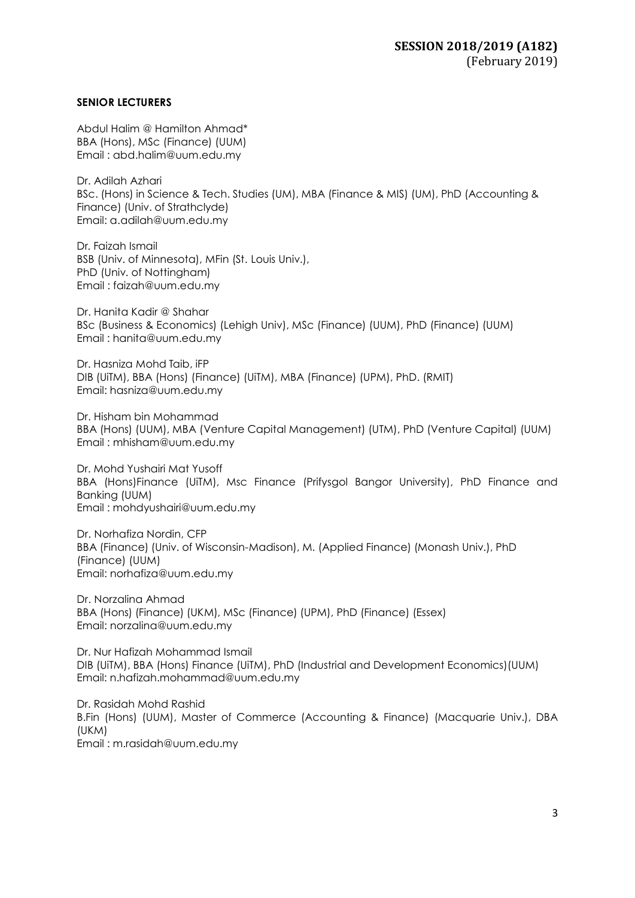### **SENIOR LECTURERS**

Abdul Halim @ Hamilton Ahmad\* BBA (Hons), MSc (Finance) (UUM) Email : [abd.halim@uum.edu.my](mailto:abd.halim@uum.edu.my)

Dr. Adilah Azhari BSc. (Hons) in Science & Tech. Studies (UM), MBA (Finance & MIS) (UM), PhD (Accounting & Finance) (Univ. of Strathclyde) Email: [a.adilah@uum.edu.my](mailto:a.adilah@uum.edu.my)

Dr. Faizah Ismail BSB (Univ. of Minnesota), MFin (St. Louis Univ.), PhD (Univ. of Nottingham) Email : [faizah@uum.edu.my](mailto:faizah@uum.edu.my)

Dr. Hanita Kadir @ Shahar BSc (Business & Economics) (Lehigh Univ), MSc (Finance) (UUM), PhD (Finance) (UUM) Email : [hanita@uum.edu.my](mailto:hanita@uum.edu.my)

Dr. Hasniza Mohd Taib, iFP DIB (UiTM), BBA (Hons) (Finance) (UiTM), MBA (Finance) (UPM), PhD. (RMIT) Ema[il: hasniza@uum.edu.my](mailto:hasniza@uum.edu.my)

Dr. Hisham bin Mohammad BBA (Hons) (UUM), MBA (Venture Capital Management) (UTM), PhD (Venture Capital) (UUM) Email : [mhisham@uum.edu.my](mailto:mhisham@uum.edu.my)

Dr. Mohd Yushairi Mat Yusoff BBA (Hons)Finance (UiTM), Msc Finance (Prifysgol Bangor University), PhD Finance and Banking (UUM) Email : mohdyushairi@uum.edu.my

Dr. Norhafiza Nordin, CFP BBA (Finance) (Univ. of Wisconsin-Madison), M. (Applied Finance) (Monash Univ.), PhD (Finance) (UUM) Email: [norhafiza@uum.edu.my](mailto:norhafiza@uum.edu.my)

Dr. Norzalina Ahmad BBA (Hons) (Finance) (UKM), MSc (Finance) (UPM), PhD (Finance) (Essex) Email: [norzalina@uum.edu.my](mailto:norzalina@uum.edu.my)

Dr. Nur Hafizah Mohammad Ismail DIB (UiTM), BBA (Hons) Finance (UiTM), PhD (Industrial and Development Economics)(UUM) Email: n.hafizah.mohammad@uum.edu.my

Dr. Rasidah Mohd Rashid B.Fin (Hons) (UUM), Master of Commerce (Accounting & Finance) (Macquarie Univ.), DBA (UKM) Email : m.rasidah@uum.edu.my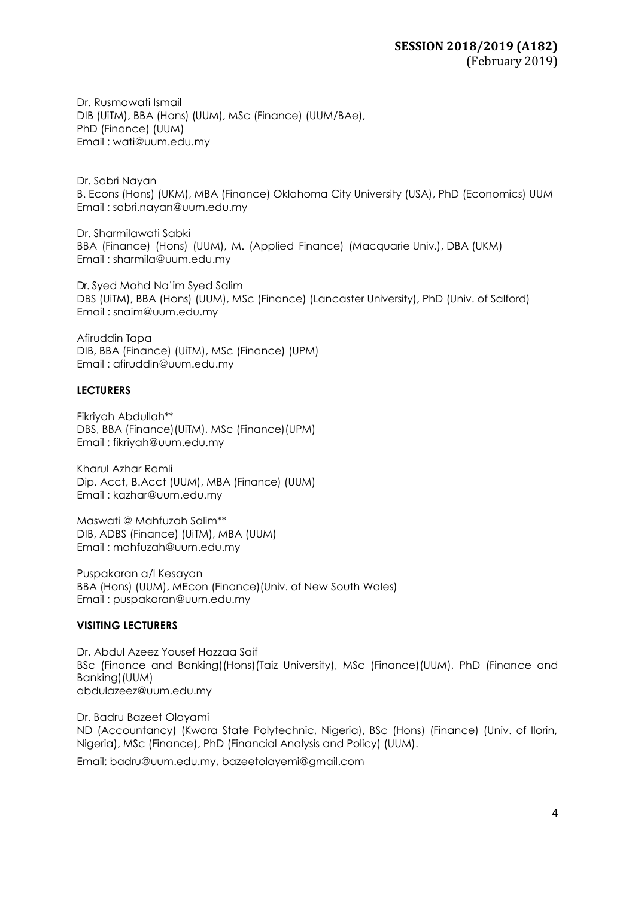Dr. Rusmawati Ismail DIB (UiTM), BBA (Hons) (UUM), MSc (Finance) (UUM/BAe), PhD (Finance) (UUM) Email : [wati@uum.edu.my](mailto:wati@uum.edu.my)

Dr. Sabri Nayan B. Econs (Hons) (UKM), MBA (Finance) Oklahoma City University (USA), PhD (Economics) UUM Email : sabri.nayan@uum.edu.my

Dr. Sharmilawati Sabki BBA (Finance) (Hons) (UUM), M. (Applied Finance) (Macquarie Univ.), DBA (UKM) Email : [sharmila@uum.edu.my](mailto:sharmila@uum.edu.my)

Dr. Syed Mohd Na'im Syed Salim DBS (UiTM), BBA (Hons) (UUM), MSc (Finance) (Lancaster University), PhD (Univ. of Salford) Email : [snaim@uum.edu.my](mailto:snaim@uum.edu.my)

Afiruddin Tapa DIB, BBA (Finance) (UiTM), MSc (Finance) (UPM) Email : [afiruddin@uum.edu.my](mailto:afiruddin@uum.edu.my)

### **LECTURERS**

Fikriyah Abdullah\*\* DBS, BBA (Finance)(UiTM), MSc (Finance)(UPM) Email : [fikriyah@uum.edu.my](mailto:fikriyah@uum.edu.my)

Kharul Azhar Ramli Dip. Acct, B.Acct (UUM), MBA (Finance) (UUM) Email : [kazhar@uum.edu.my](mailto:kazhar@uum.edu.my)

Maswati @ Mahfuzah Salim\*\* DIB, ADBS (Finance) (UiTM), MBA (UUM) Email : [mahfuzah@uum.edu.my](mailto:mahfuzah@uum.edu.my)

Puspakaran a/l Kesayan BBA (Hons) (UUM), MEcon (Finance)(Univ. of New South Wales) Email : [puspakaran@uum.edu.my](mailto:puspakaran@uum.edu.my)

### **VISITING LECTURERS**

Dr. Abdul Azeez Yousef Hazzaa Saif BSc (Finance and Banking)(Hons)(Taiz University), MSc (Finance)(UUM), PhD (Finance and Banking)(UUM) abdulazeez@uum.edu.my

Dr. Badru Bazeet Olayami ND (Accountancy) (Kwara State Polytechnic, Nigeria), BSc (Hons) (Finance) (Univ. of Ilorin, Nigeria), MSc (Finance), PhD (Financial Analysis and Policy) (UUM).

Email: badru@uum.edu.my, [bazeetolayemi@gmail.com](mailto:bazeetolayemi@gmail.com)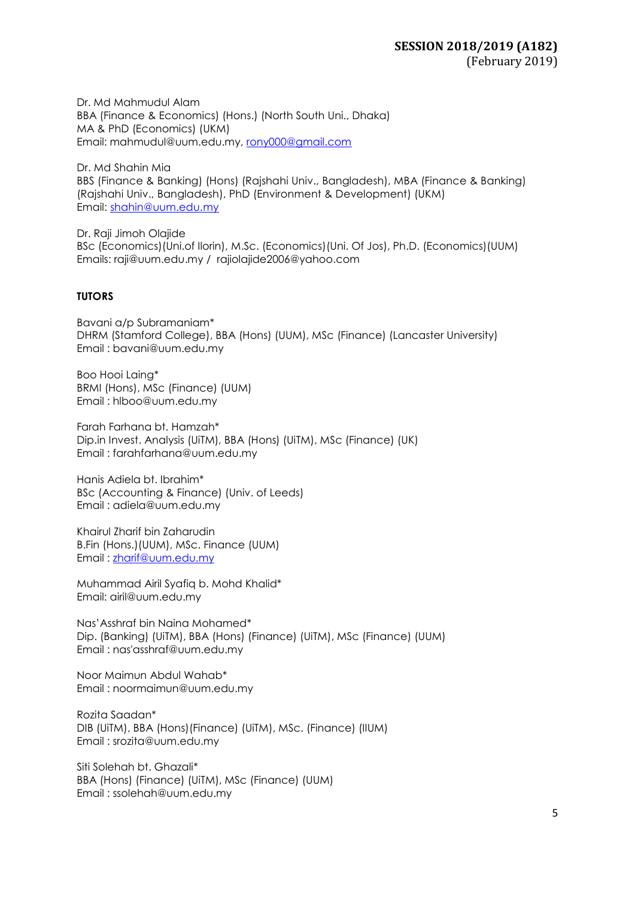Dr. Md Mahmudul Alam BBA (Finance & Economics) (Hons.) (North South Uni., Dhaka) MA & PhD (Economics) (UKM) Email: mahmudul@uum.edu.my, [rony000@gmail.com](mailto:rony000@gmail.com)

Dr. Md Shahin Mia BBS (Finance & Banking) (Hons) (Rajshahi Univ., Bangladesh), MBA (Finance & Banking) (Rajshahi Univ., Bangladesh), PhD (Environment & Development) (UKM) Email: [shahin@uum.edu.my](mailto:shahin@uum.edu.my)

Dr. Raji Jimoh Olajide BSc (Economics)(Uni.of Ilorin), M.Sc. (Economics)(Uni. Of Jos), Ph.D. (Economics)(UUM) Emails: [raji@uum.edu.m](mailto:raji@uum.edu)y / [rajiolajide2006@yahoo.com](mailto:rajiolajide2006@yahoo.com)

# **TUTORS**

Bavani a/p Subramaniam\* DHRM (Stamford College), BBA (Hons) (UUM), MSc (Finance) (Lancaster University) Email : bavani@uum.edu.my

Boo Hooi Laing\* BRMI (Hons), MSc (Finance) (UUM) Email : hlboo@uum.edu.my

Farah Farhana bt. Hamzah\* Dip.in Invest. Analysis (UiTM), BBA (Hons) (UiTM), MSc (Finance) (UK) Email : [farahfarhana@uum.edu.my](mailto:farahfarhana@uum.edu.my)

Hanis Adiela bt. Ibrahim\* BSc (Accounting & Finance) (Univ. of Leeds) Email : adiela@uum.edu.my

Khairul Zharif bin Zaharudin B.Fin (Hons.)(UUM), MSc. Finance (UUM) Email : [zharif@uum.edu.my](mailto:zharif@uum.edu.my)

Muhammad Airil Syafiq b. Mohd Khalid\* Email: airil@uum.edu.my

Nas'Asshraf bin Naina Mohamed\* Dip. (Banking) (UiTM), BBA (Hons) (Finance) (UiTM), MSc (Finance) (UUM) Email : nas'asshraf@uum.edu.my

Noor Maimun Abdul Wahab\* Email : noormaimun@uum.edu.my

Rozita Saadan\* DIB (UiTM), BBA (Hons)(Finance) (UiTM), MSc. (Finance) (IIUM) Email : srozita@uum.edu.my

Siti Solehah bt. Ghazali\* BBA (Hons) (Finance) (UiTM), MSc (Finance) (UUM) Email : ssolehah@uum.edu.my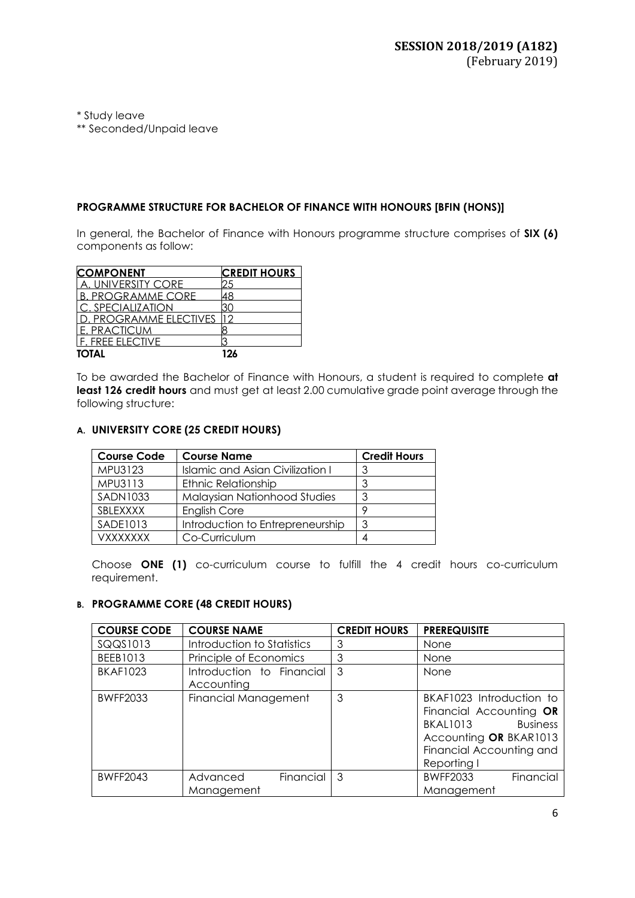\* Study leave

\*\* Seconded/Unpaid leave

## **PROGRAMME STRUCTURE FOR BACHELOR OF FINANCE WITH HONOURS [BFIN (HONS)]**

In general, the Bachelor of Finance with Honours programme structure comprises of **SIX (6)** components as follow:

| <b>COMPONENT</b>           | <b>CREDIT HOURS</b> |
|----------------------------|---------------------|
| UNIVERSITY CORE            |                     |
| <b>B. PROGRAMME CORE</b>   |                     |
| <u>I c. specialization</u> |                     |
| . PROGRAMME ELECTIVES      |                     |
| I F. PRACTICUM             |                     |
| lf. Free elective          |                     |
| TOTAL                      | 126                 |

To be awarded the Bachelor of Finance with Honours, a student is required to complete **at** least 126 credit hours and must get at least 2.00 cumulative grade point average through the following structure:

# **A. UNIVERSITY CORE (25 CREDIT HOURS)**

| <b>Course Code</b> | <b>Course Name</b>               | <b>Credit Hours</b> |
|--------------------|----------------------------------|---------------------|
| MPU3123            | Islamic and Asian Civilization I |                     |
| MPU3113            | <b>Ethnic Relationship</b>       | 3                   |
| <b>SADN1033</b>    | Malaysian Nationhood Studies     | 3                   |
| SBLEXXXX           | <b>English Core</b>              |                     |
| SADE1013           | Introduction to Entrepreneurship | 3                   |
| <b>VXXXXXXX</b>    | Co-Curriculum                    |                     |

Choose **ONE (1)** co-curriculum course to fulfill the 4 credit hours co-curriculum requirement.

## **B. PROGRAMME CORE (48 CREDIT HOURS)**

| <b>COURSE CODE</b> | <b>COURSE NAME</b>                      | <b>CREDIT HOURS</b> | <b>PREREQUISITE</b>                                                                                                                           |
|--------------------|-----------------------------------------|---------------------|-----------------------------------------------------------------------------------------------------------------------------------------------|
| SQQS1013           | Introduction to Statistics              | 3                   | None                                                                                                                                          |
| BEEB1013           | Principle of Economics                  | 3                   | None                                                                                                                                          |
| <b>BKAF1023</b>    | Introduction to Financial<br>Accounting | 3                   | None                                                                                                                                          |
| <b>BWFF2033</b>    | <b>Financial Management</b>             | 3                   | BKAF1023 Introduction to<br>Financial Accounting OR<br>BKAL1013 Business<br>Accounting OR BKAR1013<br>Financial Accounting and<br>Reporting I |
| <b>BWFF2043</b>    | Financial<br>Advanced<br>Management     | 3                   | Financial<br><b>BWFF2033</b><br>Management                                                                                                    |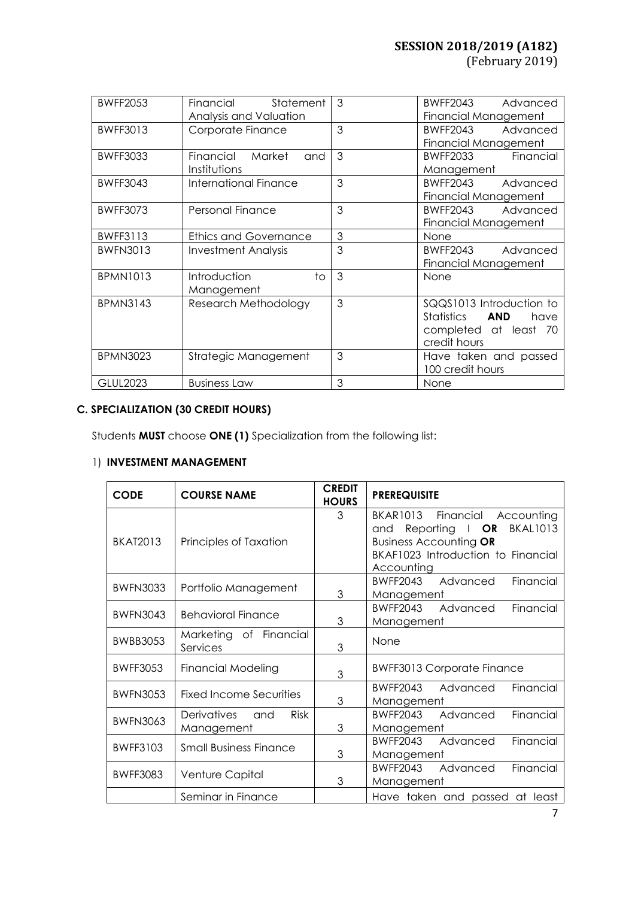| <b>BWFF2053</b> | Financial<br>Statement<br>Analysis and Valuation | 3 | <b>BWFF2043</b><br>Advanced<br>Financial Management                                                   |
|-----------------|--------------------------------------------------|---|-------------------------------------------------------------------------------------------------------|
| <b>BWFF3013</b> | Corporate Finance                                | 3 | BWFF2043<br>Advanced<br>Financial Management                                                          |
| <b>BWFF3033</b> | Financial Market<br>and<br>Institutions          | 3 | BWFF2033 Financial<br>Management                                                                      |
| <b>BWFF3043</b> | International Finance                            | 3 | <b>BWFF2043</b><br>Advanced<br>Financial Management                                                   |
| <b>BWFF3073</b> | Personal Finance                                 | 3 | <b>BWFF2043</b><br>Advanced<br>Financial Management                                                   |
| <b>BWFF3113</b> | <b>Ethics and Governance</b>                     | 3 | None                                                                                                  |
| <b>BWFN3013</b> | Investment Analysis                              | 3 | BWFF2043<br>Advanced<br>Financial Management                                                          |
| <b>BPMN1013</b> | Introduction<br>to<br>Management                 | 3 | None                                                                                                  |
| <b>BPMN3143</b> | Research Methodology                             | 3 | SQQS1013 Introduction to<br>Statistics<br><b>AND</b><br>have<br>completed at least 70<br>credit hours |
| <b>BPMN3023</b> | Strategic Management                             | 3 | Have taken and passed<br>100 credit hours                                                             |
| <b>GLUL2023</b> | <b>Business Law</b>                              | 3 | None                                                                                                  |

# **C. SPECIALIZATION (30 CREDIT HOURS)**

Students **MUST** choose **ONE (1)** Specialization from the following list:

# 1) **INVESTMENT MANAGEMENT**

| <b>CODE</b>     | <b>COURSE NAME</b>                              | <b>CREDIT</b><br><b>HOURS</b> | <b>PREREQUISITE</b>                                                                                                                                                         |
|-----------------|-------------------------------------------------|-------------------------------|-----------------------------------------------------------------------------------------------------------------------------------------------------------------------------|
| <b>BKAT2013</b> | Principles of Taxation                          | 3                             | BKAR1013 Financial Accounting<br>Reporting $\blacksquare$ OR<br><b>BKAL1013</b><br>and<br><b>Business Accounting OR</b><br>BKAF1023 Introduction to Financial<br>Accounting |
| <b>BWFN3033</b> | Portfolio Management                            | 3                             | Financial<br><b>BWFF2043</b><br>Advanced<br>Management                                                                                                                      |
| <b>BWFN3043</b> | <b>Behavioral Finance</b>                       | 3                             | BWFF2043 Advanced<br>Financial<br>Management                                                                                                                                |
| <b>BWBB3053</b> | Marketing of Financial<br>Services              | 3                             | None                                                                                                                                                                        |
| <b>BWFF3053</b> | <b>Financial Modeling</b>                       | 3                             | <b>BWFF3013 Corporate Finance</b>                                                                                                                                           |
| <b>BWFN3053</b> | <b>Fixed Income Securities</b>                  | 3                             | Financial<br>BWFF2043 Advanced<br>Management                                                                                                                                |
| <b>BWFN3063</b> | Derivatives<br><b>Risk</b><br>and<br>Management | 3                             | Financial<br>BWFF2043 Advanced<br>Management                                                                                                                                |
| <b>BWFF3103</b> | <b>Small Business Finance</b>                   | 3                             | BWFF2043 Advanced<br>Financial<br>Management                                                                                                                                |
| <b>BWFF3083</b> | Venture Capital                                 | 3                             | Financial<br>BWFF2043 Advanced<br>Management                                                                                                                                |
|                 | Seminar in Finance                              |                               | Have taken and passed at least                                                                                                                                              |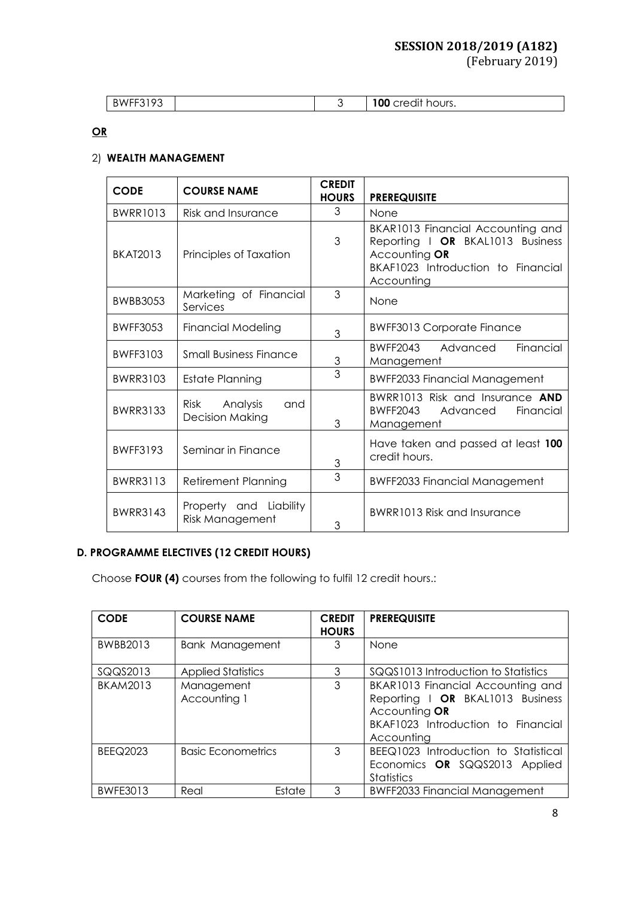# **SESSION 2018/2019 (A182)**

## (February 2019)

| $\sim$ $\sim$<br>RWFF<br>. . |  | $\cdots$<br>100<br>hours.<br>$\Delta$ lt.<br>$\sim$ r $\sim$<br>، د ، |
|------------------------------|--|-----------------------------------------------------------------------|

# **OR**

# 2) **WEALTH MANAGEMENT**

| <b>CODE</b>     | <b>COURSE NAME</b>                                       | <b>CREDIT</b><br><b>HOURS</b> | <b>PREREQUISITE</b>                                                                                                                        |
|-----------------|----------------------------------------------------------|-------------------------------|--------------------------------------------------------------------------------------------------------------------------------------------|
| <b>BWRR1013</b> | Risk and Insurance                                       | 3                             | None                                                                                                                                       |
| <b>BKAT2013</b> | Principles of Taxation                                   | 3                             | BKAR1013 Financial Accounting and<br>Reporting I OR BKAL1013 Business<br>Accounting OR<br>BKAF1023 Introduction to Financial<br>Accounting |
| <b>BWBB3053</b> | Marketing of Financial<br>Services                       | 3                             | None                                                                                                                                       |
| <b>BWFF3053</b> | <b>Financial Modeling</b>                                | 3                             | <b>BWFF3013 Corporate Finance</b>                                                                                                          |
| <b>BWFF3103</b> | <b>Small Business Finance</b>                            | $\mathfrak 3$                 | Financial<br>BWFF2043<br>Advanced<br>Management                                                                                            |
| <b>BWRR3103</b> | <b>Estate Planning</b>                                   | 3                             | <b>BWFF2033 Financial Management</b>                                                                                                       |
| <b>BWRR3133</b> | Analysis<br><b>Risk</b><br>and<br><b>Decision Making</b> | 3                             | BWRR1013 Risk and Insurance AND<br><b>BWFF2043</b><br>Advanced<br>Financial<br>Management                                                  |
| <b>BWFF3193</b> | Seminar in Finance                                       | 3                             | Have taken and passed at least 100<br>credit hours.                                                                                        |
| <b>BWRR3113</b> | <b>Retirement Planning</b>                               | 3                             | <b>BWFF2033 Financial Management</b>                                                                                                       |
| <b>BWRR3143</b> | Property and Liability<br>Risk Management                | 3                             | BWRR1013 Risk and Insurance                                                                                                                |

# **D. PROGRAMME ELECTIVES (12 CREDIT HOURS)**

Choose **FOUR (4)** courses from the following to fulfil 12 credit hours.:

| <b>CODE</b>     | <b>COURSE NAME</b>         | <b>CREDIT</b><br><b>HOURS</b> | <b>PREREQUISITE</b>                                                                                                                        |
|-----------------|----------------------------|-------------------------------|--------------------------------------------------------------------------------------------------------------------------------------------|
| BWBB2013        | <b>Bank Management</b>     | 3                             | None                                                                                                                                       |
| SQQS2013        | <b>Applied Statistics</b>  | 3                             | SQQS1013 Introduction to Statistics                                                                                                        |
| <b>BKAM2013</b> | Management<br>Accounting 1 | 3                             | BKAR1013 Financial Accounting and<br>Reporting   OR BKAL1013 Business<br>Accounting OR<br>BKAF1023 Introduction to Financial<br>Accounting |
| <b>BEEQ2023</b> | <b>Basic Econometrics</b>  | 3                             | BEEQ1023 Introduction to Statistical<br>Economics OR SQQS2013 Applied<br><b>Statistics</b>                                                 |
| <b>BWFE3013</b> | Estate<br>Real             | 3                             | <b>BWFF2033 Financial Management</b>                                                                                                       |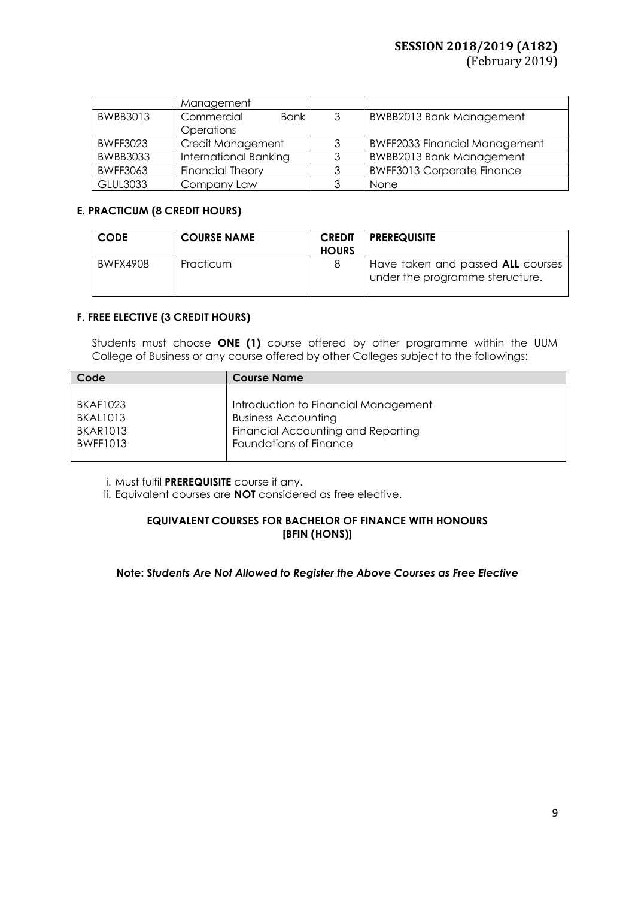# **SESSION 2018/2019 (A182)**

(February 2019)

|                 | Management                |   |                                      |
|-----------------|---------------------------|---|--------------------------------------|
| BWBB3013        | Commercial<br><b>Bank</b> | 3 | <b>BWBB2013 Bank Management</b>      |
|                 | Operations                |   |                                      |
| <b>BWFF3023</b> | Credit Management         | 3 | <b>BWFF2033 Financial Management</b> |
| <b>BWBB3033</b> | International Banking     | 3 | <b>BWBB2013 Bank Management</b>      |
| <b>BWFF3063</b> | <b>Financial Theory</b>   |   | <b>BWFF3013 Corporate Finance</b>    |
| <b>GLUL3033</b> | Company Law               | 3 | None                                 |

# **E. PRACTICUM (8 CREDIT HOURS)**

| <b>CODE</b> | <b>COURSE NAME</b> | <b>CREDIT</b><br><b>HOURS</b> | <b>PREREQUISITE</b>                                                  |
|-------------|--------------------|-------------------------------|----------------------------------------------------------------------|
| BWFX4908    | Practicum          |                               | Have taken and passed ALL courses<br>under the programme steructure. |

### **F. FREE ELECTIVE (3 CREDIT HOURS)**

Students must choose **ONE (1)** course offered by other programme within the UUM College of Business or any course offered by other Colleges subject to the followings:

| Code            | <b>Course Name</b>                   |
|-----------------|--------------------------------------|
|                 |                                      |
| <b>BKAF1023</b> | Introduction to Financial Management |
| <b>BKAL1013</b> | <b>Business Accounting</b>           |
| <b>BKAR1013</b> | Financial Accounting and Reporting   |
| <b>BWFF1013</b> | Foundations of Finance               |
|                 |                                      |

i. Must fulfil **PREREQUISITE** course if any.

ii. Equivalent courses are **NOT** considered as free elective.

# **EQUIVALENT COURSES FOR BACHELOR OF FINANCE WITH HONOURS [BFIN (HONS)]**

### **Note: S***tudents Are Not Allowed to Register the Above Courses as Free Elective*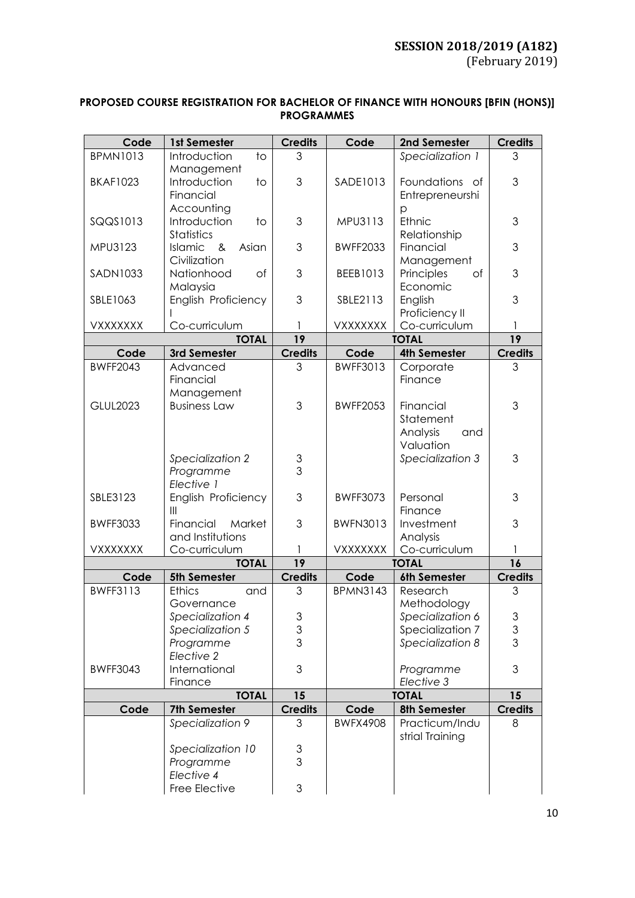| <b>PROPOSED COURSE REGISTRATION FOR BACHELOR OF FINANCE WITH HONOURS [BFIN (HONS)]</b> |  |
|----------------------------------------------------------------------------------------|--|
| <b>PROGRAMMES</b>                                                                      |  |

| Code            | 1st Semester                                     | <b>Credits</b>                 | Code            | 2nd Semester                                           | <b>Credits</b>      |
|-----------------|--------------------------------------------------|--------------------------------|-----------------|--------------------------------------------------------|---------------------|
| <b>BPMN1013</b> | Introduction<br>$\overline{1}$<br>Management     | 3                              |                 | Specialization 1                                       | 3                   |
| <b>BKAF1023</b> | Introduction<br>to<br>Financial                  | 3                              | SADE1013        | Foundations of<br>Entrepreneurshi                      | 3                   |
| SQQS1013        | Accounting<br>Introduction<br>$10$<br>Statistics | 3                              | MPU3113         | p<br>Ethnic<br>Relationship                            | 3                   |
| MPU3123         | Islamic &<br>Asian<br>Civilization               | 3                              | <b>BWFF2033</b> | Financial<br>Management                                | 3                   |
| <b>SADN1033</b> | of<br>Nationhood<br>Malaysia                     | 3                              | BEEB1013        | Principles<br>of<br>Economic                           | 3                   |
| SBLE1063        | English Proficiency                              | 3                              | SBLE2113        | English<br>Proficiency II                              | 3                   |
| VXXXXXXX        | Co-curriculum                                    |                                | <b>VXXXXXXX</b> | Co-curriculum                                          |                     |
|                 | <b>TOTAL</b>                                     | 19                             |                 | <b>TOTAL</b>                                           | 19                  |
| Code            | 3rd Semester                                     | <b>Credits</b>                 | Code            | <b>4th Semester</b>                                    | <b>Credits</b>      |
| <b>BWFF2043</b> | Advanced<br>Financial<br>Management              | 3                              | <b>BWFF3013</b> | Corporate<br>Finance                                   | 3                   |
| <b>GLUL2023</b> | <b>Business Law</b>                              | 3                              | <b>BWFF2053</b> | Financial<br>Statement<br>Analysis<br>and<br>Valuation | 3                   |
|                 | Specialization 2<br>Programme<br>Elective 1      | $\ensuremath{\mathsf{3}}$<br>3 |                 | Specialization 3                                       | 3                   |
| SBLE3123        | English Proficiency<br>$\mathbf{III}$            | 3                              | <b>BWFF3073</b> | Personal<br>Finance                                    | 3                   |
| <b>BWFF3033</b> | Financial<br>Market<br>and Institutions          | 3                              | <b>BWFN3013</b> | Investment<br>Analysis                                 | 3                   |
| VXXXXXXX        | Co-curriculum                                    |                                | <b>VXXXXXXX</b> | Co-curriculum                                          | 1                   |
|                 | <b>TOTAL</b>                                     | 19                             |                 | <b>TOTAL</b>                                           | 16                  |
| Code            | 5th Semester                                     | <b>Credits</b>                 | Code            | 6th Semester                                           | <b>Credits</b>      |
| <b>BWFF3113</b> | <b>Ethics</b><br>and<br>Governance               | 3                              | <b>BPMN3143</b> | Research<br>Methodology                                | 3                   |
|                 | Specialization 4                                 | 3                              |                 | Specialization 6                                       | $\mathfrak 3$       |
|                 | Specialization 5                                 | 3<br>3                         |                 | Specialization 7                                       | $\mathfrak{S}$<br>3 |
|                 | Programme<br>Elective 2                          |                                |                 | Specialization 8                                       |                     |
| <b>BWFF3043</b> | International<br>Finance                         | 3                              |                 | Programme<br>Elective 3                                | 3                   |
|                 | <b>TOTAL</b>                                     | 15                             |                 | <b>TOTAL</b>                                           | 15                  |
| Code            | 7th Semester                                     | <b>Credits</b>                 | Code            | 8th Semester                                           | <b>Credits</b>      |
|                 | Specialization 9                                 | 3                              | <b>BWFX4908</b> | Practicum/Indu<br>strial Training                      | 8                   |
|                 | Specialization 10                                | 3                              |                 |                                                        |                     |
|                 | Programme<br>Elective 4                          | 3                              |                 |                                                        |                     |
|                 | Free Elective                                    | 3                              |                 |                                                        |                     |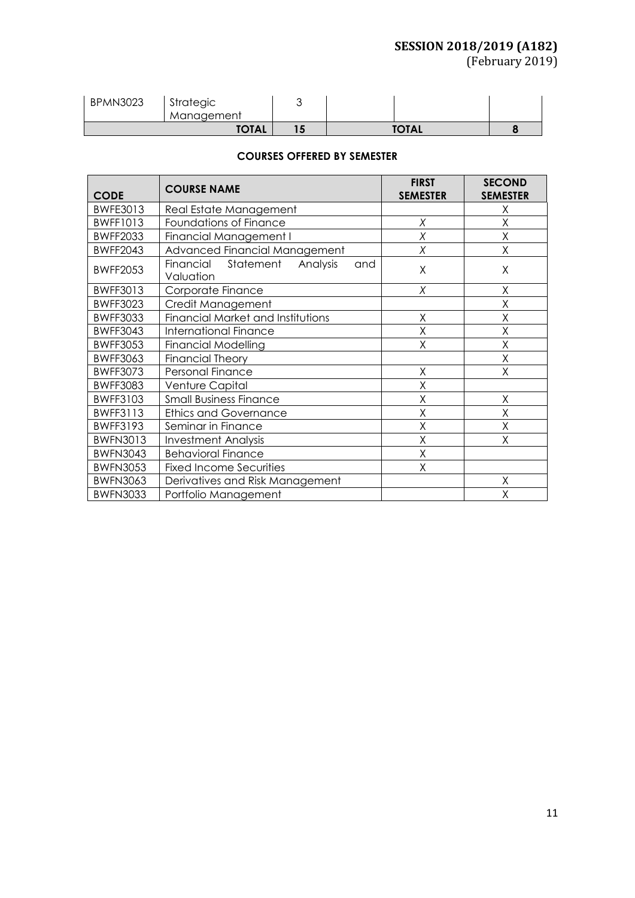# **SESSION 2018/2019 (A182)**

(February 2019)

| <b>BPMN3023</b> | Strategic<br>Management |              |  |
|-----------------|-------------------------|--------------|--|
| <b>TOTAL</b>    |                         | <b>TOTAL</b> |  |

# **COURSES OFFERED BY SEMESTER**

| <b>CODE</b>     | <b>COURSE NAME</b>                                     | <b>FIRST</b><br><b>SEMESTER</b> | <b>SECOND</b><br><b>SEMESTER</b> |
|-----------------|--------------------------------------------------------|---------------------------------|----------------------------------|
| <b>BWFE3013</b> | Real Estate Management                                 |                                 | Χ                                |
| <b>BWFF1013</b> | Foundations of Finance                                 | Χ                               | Χ                                |
| <b>BWFF2033</b> | <b>Financial Management I</b>                          | X                               | Χ                                |
| <b>BWFF2043</b> | Advanced Financial Management                          | Χ                               | Χ                                |
| <b>BWFF2053</b> | Statement<br>Financial<br>Analysis<br>and<br>Valuation | X                               | X                                |
| <b>BWFF3013</b> | Corporate Finance                                      | X                               | X                                |
| <b>BWFF3023</b> | Credit Management                                      |                                 | Χ                                |
| <b>BWFF3033</b> | Financial Market and Institutions                      | X                               | X                                |
| <b>BWFF3043</b> | <b>International Finance</b>                           | X                               | Χ                                |
| <b>BWFF3053</b> | <b>Financial Modelling</b>                             | X                               | Χ                                |
| <b>BWFF3063</b> | <b>Financial Theory</b>                                |                                 | Χ                                |
| <b>BWFF3073</b> | Personal Finance                                       | X                               | Χ                                |
| <b>BWFF3083</b> | Venture Capital                                        | X                               |                                  |
| <b>BWFF3103</b> | <b>Small Business Finance</b>                          | X                               | Χ                                |
| <b>BWFF3113</b> | <b>Ethics and Governance</b>                           | X                               | Χ                                |
| <b>BWFF3193</b> | Seminar in Finance                                     | Χ                               | Χ                                |
| <b>BWFN3013</b> | <b>Investment Analysis</b>                             | X                               | Χ                                |
| <b>BWFN3043</b> | <b>Behavioral Finance</b>                              | X                               |                                  |
| <b>BWFN3053</b> | <b>Fixed Income Securities</b>                         | Χ                               |                                  |
| <b>BWFN3063</b> | Derivatives and Risk Management                        |                                 | Χ                                |
| <b>BWFN3033</b> | Portfolio Management                                   |                                 | Χ                                |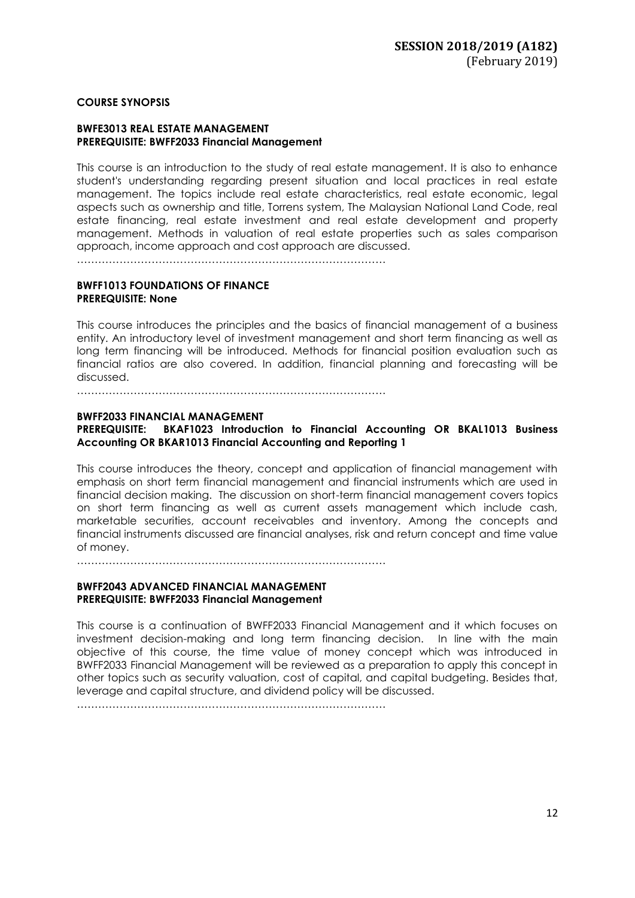### **COURSE SYNOPSIS**

#### **BWFE3013 REAL ESTATE MANAGEMENT PREREQUISITE: BWFF2033 Financial Management**

This course is an introduction to the study of real estate management. It is also to enhance student's understanding regarding present situation and local practices in real estate management. The topics include real estate characteristics, real estate economic, legal aspects such as ownership and title, Torrens system, The Malaysian National Land Code, real estate financing, real estate investment and real estate development and property management. Methods in valuation of real estate properties such as sales comparison approach, income approach and cost approach are discussed.

……………………………………………………………………………

### **BWFF1013 FOUNDATIONS OF FINANCE PREREQUISITE: None**

This course introduces the principles and the basics of financial management of a business entity. An introductory level of investment management and short term financing as well as long term financing will be introduced. Methods for financial position evaluation such as financial ratios are also covered. In addition, financial planning and forecasting will be discussed.

……………………………………………………………………………

### **BWFF2033 FINANCIAL MANAGEMENT**

## **PREREQUISITE: BKAF1023 Introduction to Financial Accounting OR BKAL1013 Business Accounting OR BKAR1013 Financial Accounting and Reporting 1**

This course introduces the theory, concept and application of financial management with emphasis on short term financial management and financial instruments which are used in financial decision making. The discussion on short-term financial management covers topics on short term financing as well as current assets management which include cash, marketable securities, account receivables and inventory. Among the concepts and financial instruments discussed are financial analyses, risk and return concept and time value of money.

……………………………………………………………………………

### **BWFF2043 ADVANCED FINANCIAL MANAGEMENT PREREQUISITE: BWFF2033 Financial Management**

This course is a continuation of BWFF2033 Financial Management and it which focuses on investment decision-making and long term financing decision. In line with the main objective of this course, the time value of money concept which was introduced in BWFF2033 Financial Management will be reviewed as a preparation to apply this concept in other topics such as security valuation, cost of capital, and capital budgeting. Besides that, leverage and capital structure, and dividend policy will be discussed.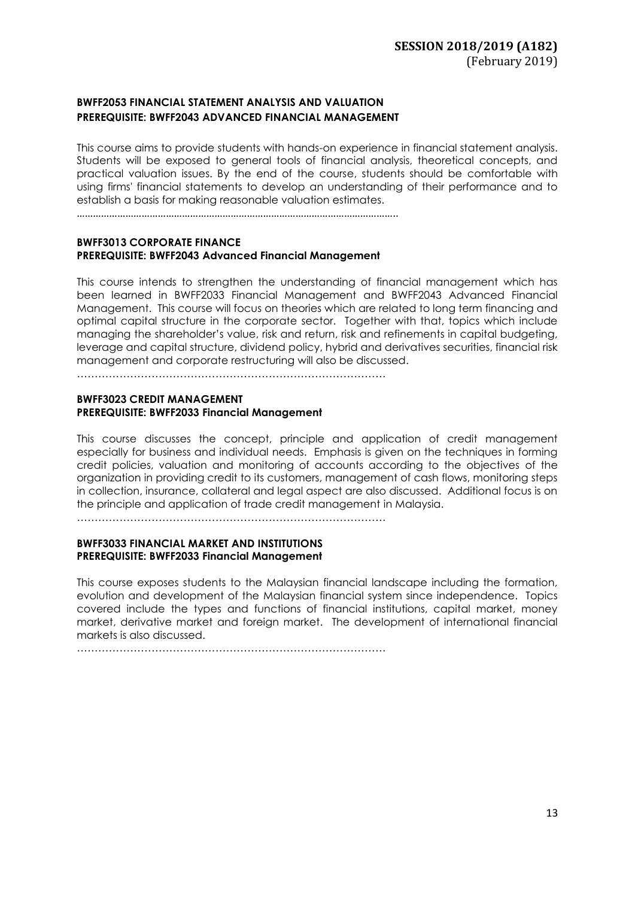# **BWFF2053 FINANCIAL STATEMENT ANALYSIS AND VALUATION PREREQUISITE: BWFF2043 ADVANCED FINANCIAL MANAGEMENT**

This course aims to provide students with hands-on experience in financial statement analysis. Students will be exposed to general tools of financial analysis, theoretical concepts, and practical valuation issues. By the end of the course, students should be comfortable with using firms' financial statements to develop an understanding of their performance and to establish a basis for making reasonable valuation estimates.

………………………………………………………………………………………………………..

### **BWFF3013 CORPORATE FINANCE PREREQUISITE: BWFF2043 Advanced Financial Management**

This course intends to strengthen the understanding of financial management which has been learned in BWFF2033 Financial Management and BWFF2043 Advanced Financial Management. This course will focus on theories which are related to long term financing and optimal capital structure in the corporate sector. Together with that, topics which include managing the shareholder's value, risk and return, risk and refinements in capital budgeting, leverage and capital structure, dividend policy, hybrid and derivatives securities, financial risk management and corporate restructuring will also be discussed.

……………………………………………………………………………

### **BWFF3023 CREDIT MANAGEMENT PREREQUISITE: BWFF2033 Financial Management**

This course discusses the concept, principle and application of credit management especially for business and individual needs. Emphasis is given on the techniques in forming credit policies, valuation and monitoring of accounts according to the objectives of the organization in providing credit to its customers, management of cash flows, monitoring steps in collection, insurance, collateral and legal aspect are also discussed. Additional focus is on the principle and application of trade credit management in Malaysia.

……………………………………………………………………………

### **BWFF3033 FINANCIAL MARKET AND INSTITUTIONS PREREQUISITE: BWFF2033 Financial Management**

This course exposes students to the Malaysian financial landscape including the formation, evolution and development of the Malaysian financial system since independence. Topics covered include the types and functions of financial institutions, capital market, money market, derivative market and foreign market. The development of international financial markets is also discussed.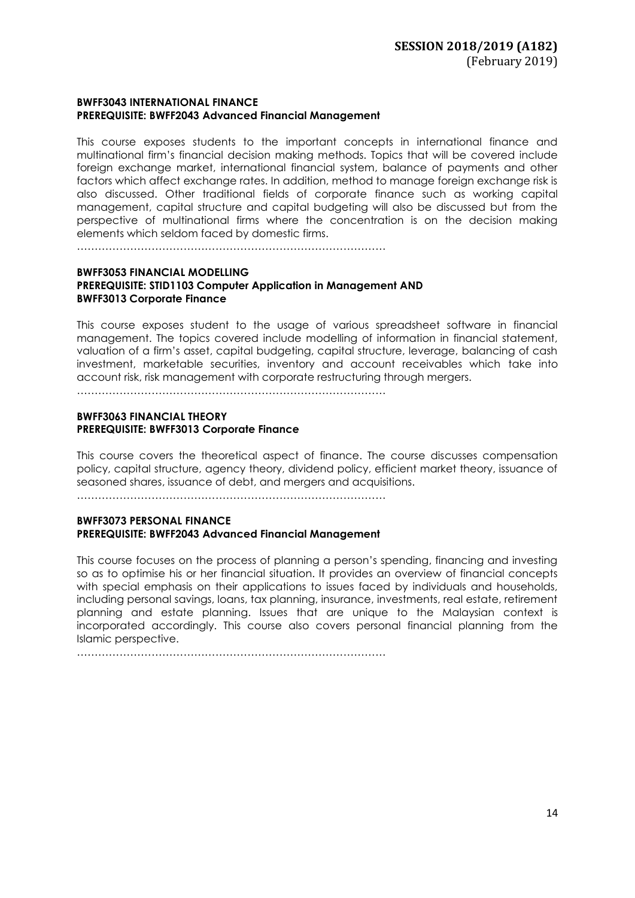### **BWFF3043 INTERNATIONAL FINANCE PREREQUISITE: BWFF2043 Advanced Financial Management**

This course exposes students to the important concepts in international finance and multinational firm's financial decision making methods. Topics that will be covered include foreign exchange market, international financial system, balance of payments and other factors which affect exchange rates. In addition, method to manage foreign exchange risk is also discussed. Other traditional fields of corporate finance such as working capital management, capital structure and capital budgeting will also be discussed but from the perspective of multinational firms where the concentration is on the decision making elements which seldom faced by domestic firms.

……………………………………………………………………………

### **BWFF3053 FINANCIAL MODELLING PREREQUISITE: STID1103 Computer Application in Management AND BWFF3013 Corporate Finance**

This course exposes student to the usage of various spreadsheet software in financial management. The topics covered include modelling of information in financial statement, valuation of a firm's asset, capital budgeting, capital structure, leverage, balancing of cash investment, marketable securities, inventory and account receivables which take into account risk, risk management with corporate restructuring through mergers.

……………………………………………………………………………

### **BWFF3063 FINANCIAL THEORY PREREQUISITE: BWFF3013 Corporate Finance**

This course covers the theoretical aspect of finance. The course discusses compensation policy, capital structure, agency theory, dividend policy, efficient market theory, issuance of seasoned shares, issuance of debt, and mergers and acquisitions.

……………………………………………………………………………

### **BWFF3073 PERSONAL FINANCE PREREQUISITE: BWFF2043 Advanced Financial Management**

This course focuses on the process of planning a person's spending, financing and investing so as to optimise his or her financial situation. It provides an overview of financial concepts with special emphasis on their applications to issues faced by individuals and households, including personal savings, loans, tax planning, insurance, investments, real estate, retirement planning and estate planning. Issues that are unique to the Malaysian context is incorporated accordingly. This course also covers personal financial planning from the Islamic perspective.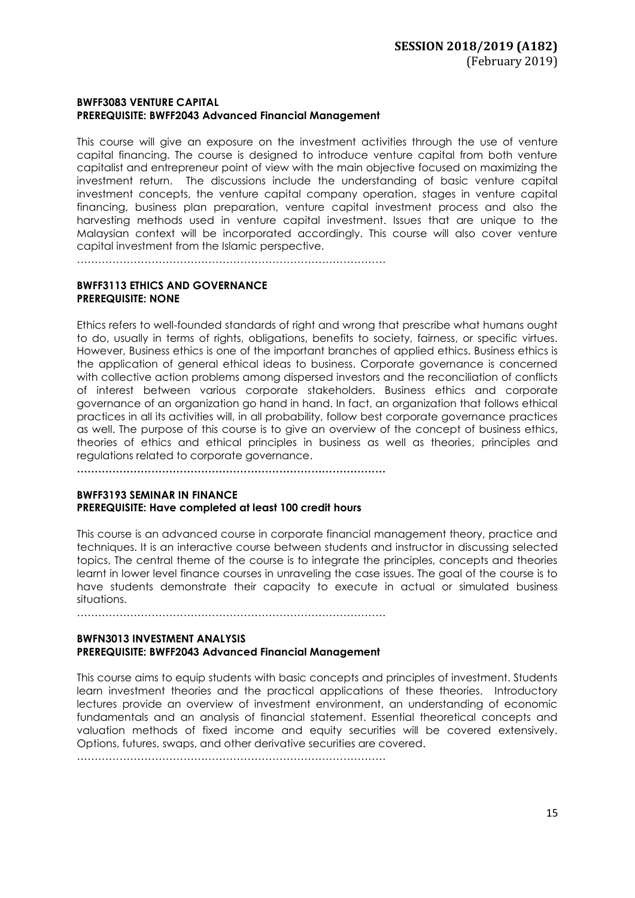### **BWFF3083 VENTURE CAPITAL PREREQUISITE: BWFF2043 Advanced Financial Management**

This course will give an exposure on the investment activities through the use of venture capital financing. The course is designed to introduce venture capital from both venture capitalist and entrepreneur point of view with the main objective focused on maximizing the investment return. The discussions include the understanding of basic venture capital investment concepts, the venture capital company operation, stages in venture capital financing, business plan preparation, venture capital investment process and also the harvesting methods used in venture capital investment. Issues that are unique to the Malaysian context will be incorporated accordingly. This course will also cover venture capital investment from the Islamic perspective.

……………………………………………………………………………

## **BWFF3113 ETHICS AND GOVERNANCE PREREQUISITE: NONE**

Ethics refers to well-founded standards of right and wrong that prescribe what humans ought to do, usually in terms of rights, obligations, benefits to society, fairness, or specific virtues. However, Business ethics is one of the important branches of applied ethics. Business ethics is the application of general ethical ideas to business. Corporate governance is concerned with collective action problems among dispersed investors and the reconciliation of conflicts of interest between various corporate stakeholders. Business ethics and corporate governance of an organization go hand in hand. In fact, an organization that follows ethical practices in all its activities will, in all probability, follow best corporate governance practices as well. The purpose of this course is to give an overview of the concept of business ethics, theories of ethics and ethical principles in business as well as theories, principles and regulations related to corporate governance.

**……………………………………………………………………………**

### **BWFF3193 SEMINAR IN FINANCE PREREQUISITE: Have completed at least 100 credit hours**

This course is an advanced course in corporate financial management theory, practice and techniques. It is an interactive course between students and instructor in discussing selected topics. The central theme of the course is to integrate the principles, concepts and theories learnt in lower level finance courses in unraveling the case issues. The goal of the course is to have students demonstrate their capacity to execute in actual or simulated business situations.

……………………………………………………………………………

### **BWFN3013 INVESTMENT ANALYSIS PREREQUISITE: BWFF2043 Advanced Financial Management**

This course aims to equip students with basic concepts and principles of investment. Students learn investment theories and the practical applications of these theories. Introductory lectures provide an overview of investment environment, an understanding of economic fundamentals and an analysis of financial statement. Essential theoretical concepts and valuation methods of fixed income and equity securities will be covered extensively. Options, futures, swaps, and other derivative securities are covered.